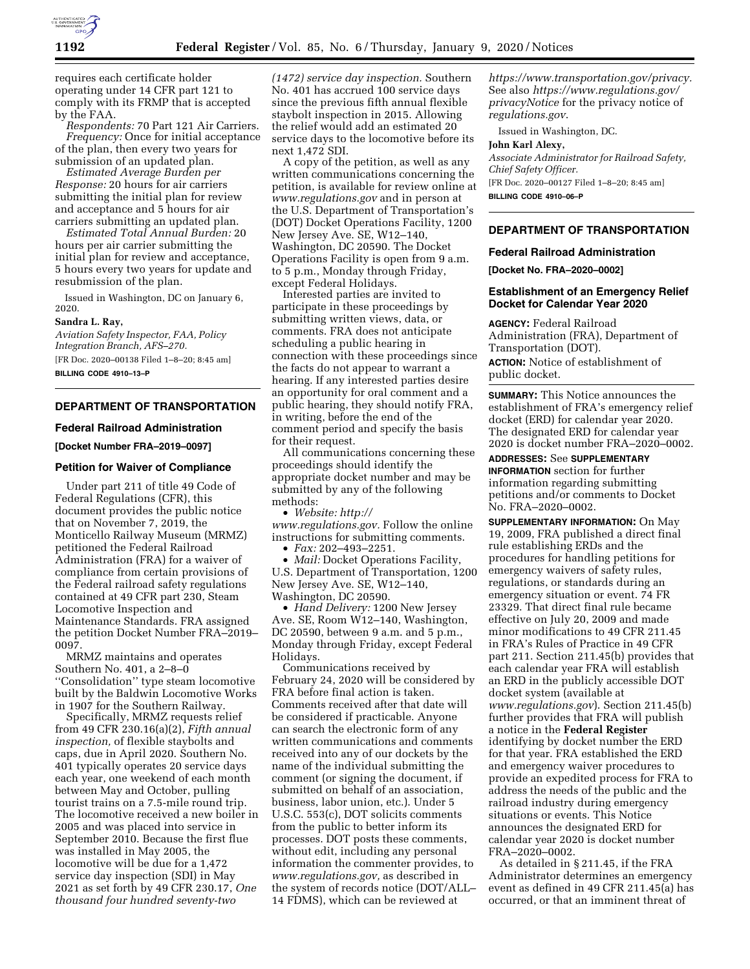

requires each certificate holder operating under 14 CFR part 121 to comply with its FRMP that is accepted by the FAA.

*Respondents:* 70 Part 121 Air Carriers. *Frequency:* Once for initial acceptance of the plan, then every two years for

submission of an updated plan. *Estimated Average Burden per* 

*Response:* 20 hours for air carriers submitting the initial plan for review and acceptance and 5 hours for air carriers submitting an updated plan.

*Estimated Total Annual Burden:* 20 hours per air carrier submitting the initial plan for review and acceptance, 5 hours every two years for update and resubmission of the plan.

Issued in Washington, DC on January 6, 2020.

### **Sandra L. Ray,**

*Aviation Safety Inspector, FAA, Policy Integration Branch, AFS–270.*  [FR Doc. 2020–00138 Filed 1–8–20; 8:45 am] **BILLING CODE 4910–13–P** 

# **DEPARTMENT OF TRANSPORTATION**

## **Federal Railroad Administration**

**[Docket Number FRA–2019–0097]** 

## **Petition for Waiver of Compliance**

Under part 211 of title 49 Code of Federal Regulations (CFR), this document provides the public notice that on November 7, 2019, the Monticello Railway Museum (MRMZ) petitioned the Federal Railroad Administration (FRA) for a waiver of compliance from certain provisions of the Federal railroad safety regulations contained at 49 CFR part 230, Steam Locomotive Inspection and Maintenance Standards. FRA assigned the petition Docket Number FRA–2019– 0097.

MRMZ maintains and operates Southern No. 401, a 2–8–0 ''Consolidation'' type steam locomotive built by the Baldwin Locomotive Works in 1907 for the Southern Railway.

Specifically, MRMZ requests relief from 49 CFR 230.16(a)(2), *Fifth annual inspection,* of flexible staybolts and caps, due in April 2020. Southern No. 401 typically operates 20 service days each year, one weekend of each month between May and October, pulling tourist trains on a 7.5-mile round trip. The locomotive received a new boiler in 2005 and was placed into service in September 2010. Because the first flue was installed in May 2005, the locomotive will be due for a 1,472 service day inspection (SDI) in May 2021 as set forth by 49 CFR 230.17, *One thousand four hundred seventy-two* 

*(1472) service day inspection.* Southern No. 401 has accrued 100 service days since the previous fifth annual flexible staybolt inspection in 2015. Allowing the relief would add an estimated 20 service days to the locomotive before its next 1,472 SDI.

A copy of the petition, as well as any written communications concerning the petition, is available for review online at *[www.regulations.gov](http://www.regulations.gov)* and in person at the U.S. Department of Transportation's (DOT) Docket Operations Facility, 1200 New Jersey Ave. SE, W12–140, Washington, DC 20590. The Docket Operations Facility is open from 9 a.m. to 5 p.m., Monday through Friday, except Federal Holidays.

Interested parties are invited to participate in these proceedings by submitting written views, data, or comments. FRA does not anticipate scheduling a public hearing in connection with these proceedings since the facts do not appear to warrant a hearing. If any interested parties desire an opportunity for oral comment and a public hearing, they should notify FRA, in writing, before the end of the comment period and specify the basis for their request.

All communications concerning these proceedings should identify the appropriate docket number and may be submitted by any of the following methods:

• *Website: [http://](http://www.regulations.gov)*

*[www.regulations.gov.](http://www.regulations.gov)* Follow the online instructions for submitting comments.

• *Fax:* 202–493–2251.

• *Mail:* Docket Operations Facility, U.S. Department of Transportation, 1200 New Jersey Ave. SE, W12–140, Washington, DC 20590.

• *Hand Delivery:* 1200 New Jersey Ave. SE, Room W12–140, Washington, DC 20590, between 9 a.m. and 5 p.m., Monday through Friday, except Federal Holidays.

Communications received by February 24, 2020 will be considered by FRA before final action is taken. Comments received after that date will be considered if practicable. Anyone can search the electronic form of any written communications and comments received into any of our dockets by the name of the individual submitting the comment (or signing the document, if submitted on behalf of an association, business, labor union, etc.). Under 5 U.S.C. 553(c), DOT solicits comments from the public to better inform its processes. DOT posts these comments, without edit, including any personal information the commenter provides, to *[www.regulations.gov,](http://www.regulations.gov)* as described in the system of records notice (DOT/ALL– 14 FDMS), which can be reviewed at

*[https://www.transportation.gov/privacy.](https://www.transportation.gov/privacy)*  See also *[https://www.regulations.gov/](https://www.regulations.gov/privacyNotice)  [privacyNotice](https://www.regulations.gov/privacyNotice)* for the privacy notice of *regulations.gov*.

Issued in Washington, DC.

#### **John Karl Alexy,**

*Associate Administrator for Railroad Safety, Chief Safety Officer.*  [FR Doc. 2020–00127 Filed 1–8–20; 8:45 am] **BILLING CODE 4910–06–P** 

**DEPARTMENT OF TRANSPORTATION** 

### **Federal Railroad Administration**

**[Docket No. FRA–2020–0002]** 

## **Establishment of an Emergency Relief Docket for Calendar Year 2020**

**AGENCY:** Federal Railroad Administration (FRA), Department of Transportation (DOT). **ACTION:** Notice of establishment of public docket.

**SUMMARY:** This Notice announces the establishment of FRA's emergency relief docket (ERD) for calendar year 2020. The designated ERD for calendar year 2020 is docket number FRA–2020–0002.

### **ADDRESSES:** See **SUPPLEMENTARY**

**INFORMATION** section for further information regarding submitting petitions and/or comments to Docket No. FRA–2020–0002.

**SUPPLEMENTARY INFORMATION:** On May 19, 2009, FRA published a direct final rule establishing ERDs and the procedures for handling petitions for emergency waivers of safety rules, regulations, or standards during an emergency situation or event. 74 FR 23329. That direct final rule became effective on July 20, 2009 and made minor modifications to 49 CFR 211.45 in FRA's Rules of Practice in 49 CFR part 211. Section 211.45(b) provides that each calendar year FRA will establish an ERD in the publicly accessible DOT docket system (available at *[www.regulations.gov](http://www.regulations.gov)*). Section 211.45(b) further provides that FRA will publish a notice in the **Federal Register**  identifying by docket number the ERD for that year. FRA established the ERD and emergency waiver procedures to provide an expedited process for FRA to address the needs of the public and the railroad industry during emergency situations or events. This Notice announces the designated ERD for calendar year 2020 is docket number FRA–2020–0002.

As detailed in § 211.45, if the FRA Administrator determines an emergency event as defined in 49 CFR 211.45(a) has occurred, or that an imminent threat of